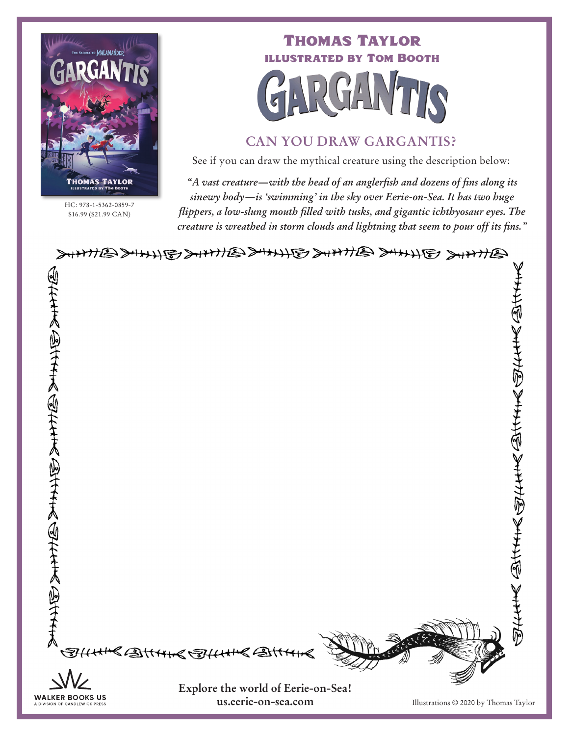

HC: 978-1-5362-0859-7 \$16.99 (\$21.99 CAN)

Thomas Taylor illustrated by Tom Booth

### **CAN YOU DRAW GARGANTIS?**

See if you can draw the mythical creature using the description below:

*"A vast creature—with the head of an anglerfish and dozens of fins along its sinewy body—is 'swimming' in the sky over Eerie-on-Sea. It has two huge flippers, a low-slung mouth filled with tusks, and gigantic ichthyosaur eyes. The creature is wreathed in storm clouds and lightning that seem to pour off its fins."*

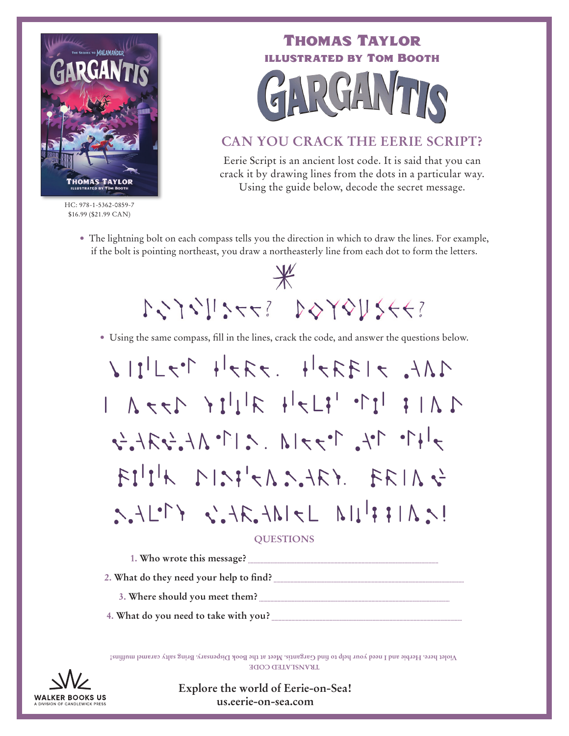

HC: 978-1-5362-0859-7 \$16.99 (\$21.99 CAN)

# Thomas Taylor illustrated by Tom Booth

# **CAN YOU CRACK THE EERIE SCRIPT?**

Eerie Script is an ancient lost code. It is said that you can crack it by drawing lines from the dots in a particular way. Using the guide below, decode the secret message.

• The lightning bolt on each compass tells you the direction in which to draw the lines. For example, if the bolt is pointing northeast, you draw a northeasterly line from each dot to form the letters.

 $\frac{1}{2}$ 1333444221121212

• Using the same compass, fill in the lines, crack the code, and answer the questions below.

 $1112 \times 17771$ ,  $19771$  $1 A + 11$  $7+70$   $10^{11}$   $10^{11}$   $10^{11}$   $11^{11}$   $11^{11}$   $11^{11}$  $FI^{\dagger}I^{\dagger}$   $N!3!3!3.467.$  FRIA  $3$  $S.A L^{\circ}Y \cong A.S.A R.A N C L N L^{\circ}H H N S!$ 

#### **QUESTIONS**

**1. Who wrote this message?** 

2. What do they need your help to find?

- **3. Where should you meet them? ......................................................................................................................................**
- **4. What do you need to take with you?**

L**KVINSLATED CODE Violet here. Herbie and I need your help to find Gargantis. Meet at the Book Dispensary. Bring salty caramel muffins!**



**Explore the world of Eerie-on-Sea! us.eerie-on-sea.com**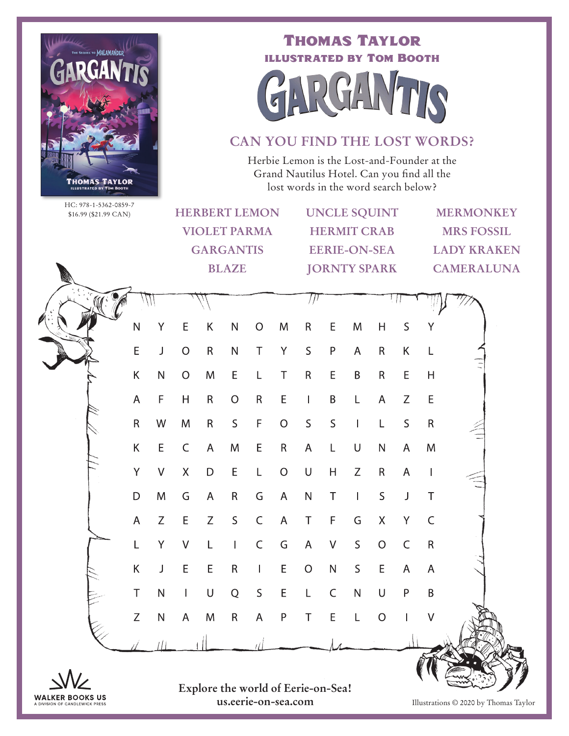

Thomas Taylor illustrated by Tom Booth



## **CAN YOU FIND THE LOST WORDS?**

Herbie Lemon is the Lost-and-Founder at the Grand Nautilus Hotel. Can you find all the lost words in the word search below?

HC: 978-1-5362-0859-7  $$16.99 \times $21.99 \times $1.31$ 

| HU: 9/8-1-3362-0839-7<br>\$16.99 (\$21.99 CAN) |  |              |              | <b>HERBERT LEMON</b> |              |                |              |                | <b>UNCLE SQUINT</b> |              |                |                | <b>MERMONKEY</b>   |                   |  |  |
|------------------------------------------------|--|--------------|--------------|----------------------|--------------|----------------|--------------|----------------|---------------------|--------------|----------------|----------------|--------------------|-------------------|--|--|
|                                                |  |              |              | <b>VIOLET PARMA</b>  |              |                |              |                | <b>HERMIT CRAB</b>  |              |                |                | <b>MRS FOSSIL</b>  |                   |  |  |
|                                                |  |              |              | <b>GARGANTIS</b>     |              |                |              |                | <b>EERIE-ON-SEA</b> |              |                |                | <b>LADY KRAKEN</b> |                   |  |  |
|                                                |  |              |              | <b>BLAZE</b>         |              |                |              |                | <b>JORNTY SPARK</b> |              |                |                |                    | <b>CAMERALUNA</b> |  |  |
|                                                |  |              |              |                      |              |                |              |                |                     |              |                |                |                    |                   |  |  |
|                                                |  | $\mathsf{N}$ | Υ            | E                    | $\sf K$      | ${\sf N}$      | $\circ$      | M              | $\mathsf R$         | E            | M              | $\mathsf{H}$   | $\mathsf S$        | Υ                 |  |  |
|                                                |  | E            | J            | $\mathcal{O}$        | $\mathsf R$  | ${\sf N}$      | $\mathsf T$  | Y              | $\mathsf S$         | ${\sf P}$    | $\overline{A}$ | $\mathsf R$    | K                  | L                 |  |  |
|                                                |  | Κ            | ${\sf N}$    | $\mathsf O$          | M            | $\mathsf E$    | L            | T              | ${\sf R}$           | E            | $\mathsf B$    | $\mathsf R$    | E                  | $\mathsf{H}$      |  |  |
|                                                |  | $\mathsf A$  | F            | H                    | $\mathsf{R}$ | $\mathcal{O}$  | $\mathsf R$  | E              | $\mathbf{I}$        | $\sf B$      | L              | $\mathsf A$    | $\mathsf Z$        | $\mathsf E$       |  |  |
|                                                |  | $\mathsf R$  | W            | M                    | $\mathsf R$  | $\mathsf{S}$   | F            | $\overline{O}$ | $\mathsf S$         | $\mathsf{S}$ | $\mathbf{I}$   | L              | $\mathsf S$        | $\mathsf R$       |  |  |
|                                                |  | Κ            | E            | $\mathsf C$          | $\mathsf{A}$ | M              | E            | $\mathsf{R}$   | $\mathsf{A}$        | L            | $\sf U$        | ${\sf N}$      | $\mathsf{A}$       | M                 |  |  |
|                                                |  | Y            | $\vee$       | $\mathsf{X}$         | $\mathsf D$  | E              | L            | $\mathsf O$    | $\cup$              | H            | Z              | ${\sf R}$      | $\overline{A}$     | $\mathbf{I}$      |  |  |
|                                                |  | D            | M            | G                    | $\mathsf{A}$ | ${\sf R}$      | G            | $\mathsf{A}$   | ${\sf N}$           | $\top$       | $\mathbf{I}$   | S              | J                  | $\top$            |  |  |
|                                                |  | A            | $\mathsf Z$  | E                    | $\mathsf Z$  | $\mathsf S$    | $\mathsf C$  | $\mathsf{A}$   | $\top$              | $\mathsf F$  | G              | $\mathsf X$    | Y                  | $\mathsf C$       |  |  |
|                                                |  | L            | Y            | $\vee$               | L            | $\mathbf{I}$   | $\mathsf C$  | G              | $\mathsf{A}$        | $\sqrt{ }$   | $\mathsf S$    | $\overline{O}$ | $\mathsf C$        | $\mathsf R$       |  |  |
|                                                |  | Κ            | J            | E                    | E            | $\mathsf R$    | $\mathbf{I}$ | $\mathsf E$    | $\mathsf O$         | ${\sf N}$    | $\mathsf S$    | E              | $\mathsf{A}$       | A                 |  |  |
|                                                |  | T            | $\mathsf{N}$ | $\mathbf{I}$         | $\mathsf U$  | $\overline{Q}$ | $\mathsf S$  | E              | L                   | $\mathsf C$  | $\mathsf{N}$   | $\cup$         | $\mathsf{P}$       | B                 |  |  |
|                                                |  | Z            | ${\sf N}$    | $\overline{A}$       | M            | ${\sf R}$      | $\mathsf A$  | $\mathsf{P}$   | $\top$              | E            | L              | $\overline{O}$ | $\mathbf{I}$       | $\vee$            |  |  |
|                                                |  |              |              |                      |              |                |              |                |                     |              |                |                |                    |                   |  |  |



**Explore the world of Eerie-on-Sea! us.eerie-on-sea.com** Illustrations © 2020 by Thomas Taylor